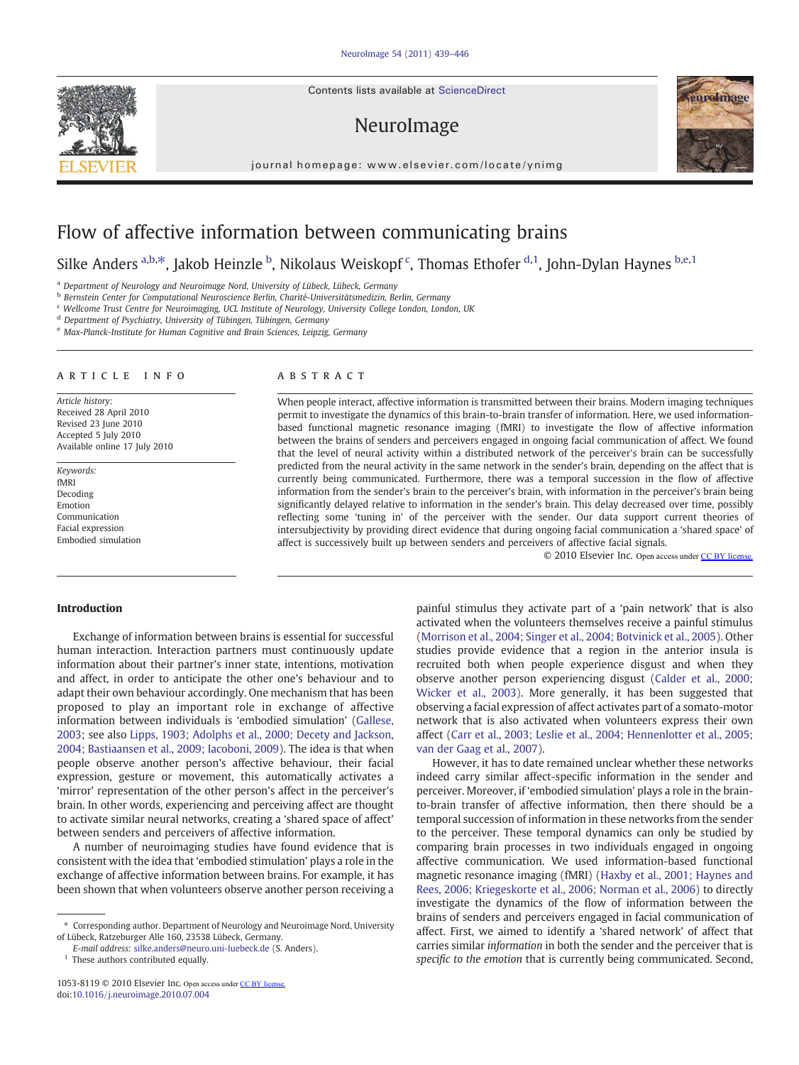Contents lists available at ScienceDirect

# NeuroImage

journal homepage: www.elsevier.com/locate/ynimg



# Flow of affective information between communicating brains

Silke Anders <sup>a,b, $*$ </sup>, Jakob Heinzle <sup>b</sup>, Nikolaus Weiskopf <sup>c</sup>, Thomas Ethofer <sup>d,1</sup>, John-Dylan Haynes <sup>b,e, 1</sup>

a Department of Neurology and Neuroimage Nord, University of Lübeck, Lübeck, Germany

<sup>b</sup> Bernstein Center for Computational Neuroscience Berlin, Charité-Universitätsmedizin, Berlin, Germany

<sup>c</sup> Wellcome Trust Centre for Neuroimaging, UCL Institute of Neurology, University College London, London, UK

<sup>d</sup> Department of Psychiatry, University of Tübingen, Tübingen, Germany

<sup>e</sup> Max-Planck-Institute for Human Cognitive and Brain Sciences, Leipzig, Germany

#### article info abstract

Article history: Received 28 April 2010 Revised 23 June 2010 Accepted 5 July 2010 Available online 17 July 2010

Keywords: fMRI Decoding Emotion Communication Facial expression Embodied simulation

When people interact, affective information is transmitted between their brains. Modern imaging techniques permit to investigate the dynamics of this brain-to-brain transfer of information. Here, we used informationbased functional magnetic resonance imaging (fMRI) to investigate the flow of affective information between the brains of senders and perceivers engaged in ongoing facial communication of affect. We found that the level of neural activity within a distributed network of the perceiver's brain can be successfully predicted from the neural activity in the same network in the sender's brain, depending on the affect that is currently being communicated. Furthermore, there was a temporal succession in the flow of affective information from the sender's brain to the perceiver's brain, with information in the perceiver's brain being significantly delayed relative to information in the sender's brain. This delay decreased over time, possibly reflecting some 'tuning in' of the perceiver with the sender. Our data support current theories of intersubjectivity by providing direct evidence that during ongoing facial communication a 'shared space' of affect is successively built up between senders and perceivers of affective facial signals.

© 2010 Elsevier Inc. Open access under [CC BY license.](http://creativecommons.org/licenses/by/3.0/)

# Introduction

Exchange of information between brains is essential for successful human interaction. Interaction partners must continuously update information about their partner's inner state, intentions, motivation and affect, in order to anticipate the other one's behaviour and to adapt their own behaviour accordingly. One mechanism that has been proposed to play an important role in exchange of affective information between individuals is 'embodied simulation' ([Gallese,](#page-7-0) [2003;](#page-7-0) see also [Lipps, 1903; Adolphs et al., 2000; Decety and Jackson,](#page-7-0) [2004; Bastiaansen et al., 2009; Iacoboni, 2009](#page-7-0)). The idea is that when people observe another person's affective behaviour, their facial expression, gesture or movement, this automatically activates a 'mirror' representation of the other person's affect in the perceiver's brain. In other words, experiencing and perceiving affect are thought to activate similar neural networks, creating a 'shared space of affect' between senders and perceivers of affective information.

A number of neuroimaging studies have found evidence that is consistent with the idea that 'embodied stimulation' plays a role in the exchange of affective information between brains. For example, it has been shown that when volunteers observe another person receiving a

 $^{\rm 1}$  These authors contributed equally.

painful stimulus they activate part of a 'pain network' that is also activated when the volunteers themselves receive a painful stimulus [\(Morrison et al., 2004; Singer et al., 2004; Botvinick et al., 2005\)](#page-7-0). Other studies provide evidence that a region in the anterior insula is recruited both when people experience disgust and when they observe another person experiencing disgust [\(Calder et al., 2000;](#page-7-0) [Wicker et al., 2003\)](#page-7-0). More generally, it has been suggested that observing a facial expression of affect activates part of a somato-motor network that is also activated when volunteers express their own affect [\(Carr et al., 2003; Leslie et al., 2004; Hennenlotter et al., 2005;](#page-7-0) [van der Gaag et al., 2007\)](#page-7-0).

However, it has to date remained unclear whether these networks indeed carry similar affect-specific information in the sender and perceiver. Moreover, if 'embodied simulation' plays a role in the brainto-brain transfer of affective information, then there should be a temporal succession of information in these networks from the sender to the perceiver. These temporal dynamics can only be studied by comparing brain processes in two individuals engaged in ongoing affective communication. We used information-based functional magnetic resonance imaging (fMRI) ([Haxby et al., 2001; Haynes and](#page-7-0) [Rees, 2006; Kriegeskorte et al., 2006; Norman et al., 2006\)](#page-7-0) to directly investigate the dynamics of the flow of information between the brains of senders and perceivers engaged in facial communication of affect. First, we aimed to identify a 'shared network' of affect that carries similar information in both the sender and the perceiver that is specific to the emotion that is currently being communicated. Second,



<sup>⁎</sup> Corresponding author. Department of Neurology and Neuroimage Nord, University of Lübeck, Ratzeburger Alle 160, 23538 Lübeck, Germany.

E-mail address: [silke.anders@neuro.uni-luebeck.de](mailto:silke.anders@neuro.uni-luebeck.de) (S. Anders).

<sup>1053-8119 © 2010</sup> Elsevier Inc. Open access under [CC BY license.](http://creativecommons.org/licenses/by/3.0/) doi:[10.1016/j.neuroimage.2010.07.004](http://dx.doi.org/10.1016/j.neuroimage.2010.07.004)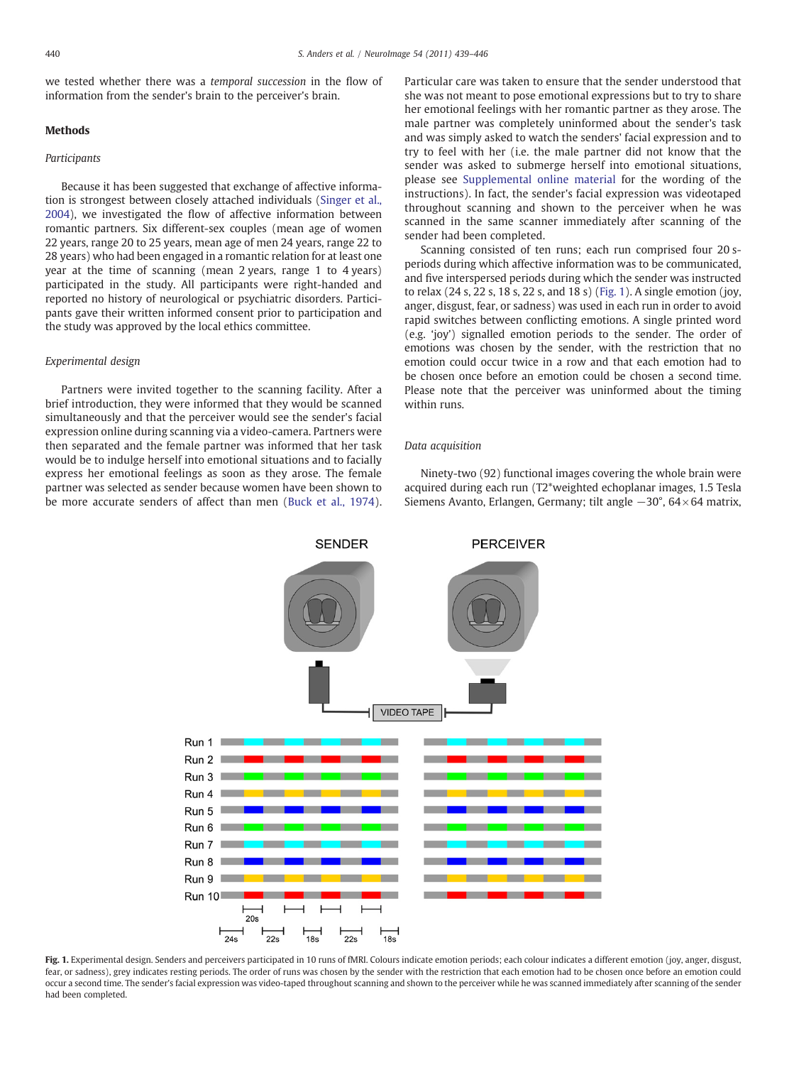we tested whether there was a temporal succession in the flow of information from the sender's brain to the perceiver's brain.

# Methods

# Participants

Because it has been suggested that exchange of affective information is strongest between closely attached individuals [\(Singer et al.,](#page-7-0) [2004\)](#page-7-0), we investigated the flow of affective information between romantic partners. Six different-sex couples (mean age of women 22 years, range 20 to 25 years, mean age of men 24 years, range 22 to 28 years) who had been engaged in a romantic relation for at least one year at the time of scanning (mean 2 years, range 1 to 4 years) participated in the study. All participants were right-handed and reported no history of neurological or psychiatric disorders. Participants gave their written informed consent prior to participation and the study was approved by the local ethics committee.

### Experimental design

Partners were invited together to the scanning facility. After a brief introduction, they were informed that they would be scanned simultaneously and that the perceiver would see the sender's facial expression online during scanning via a video-camera. Partners were then separated and the female partner was informed that her task would be to indulge herself into emotional situations and to facially express her emotional feelings as soon as they arose. The female partner was selected as sender because women have been shown to be more accurate senders of affect than men ([Buck et al., 1974](#page-7-0)). Particular care was taken to ensure that the sender understood that she was not meant to pose emotional expressions but to try to share her emotional feelings with her romantic partner as they arose. The male partner was completely uninformed about the sender's task and was simply asked to watch the senders' facial expression and to try to feel with her (i.e. the male partner did not know that the sender was asked to submerge herself into emotional situations, please see Supplemental online material for the wording of the instructions). In fact, the sender's facial expression was videotaped throughout scanning and shown to the perceiver when he was scanned in the same scanner immediately after scanning of the sender had been completed.

Scanning consisted of ten runs; each run comprised four 20 speriods during which affective information was to be communicated, and five interspersed periods during which the sender was instructed to relax (24 s, 22 s, 18 s, 22 s, and 18 s) (Fig. 1). A single emotion (joy, anger, disgust, fear, or sadness) was used in each run in order to avoid rapid switches between conflicting emotions. A single printed word (e.g. 'joy') signalled emotion periods to the sender. The order of emotions was chosen by the sender, with the restriction that no emotion could occur twice in a row and that each emotion had to be chosen once before an emotion could be chosen a second time. Please note that the perceiver was uninformed about the timing within runs.

### Data acquisition

Ninety-two (92) functional images covering the whole brain were acquired during each run (T2\*weighted echoplanar images, 1.5 Tesla Siemens Avanto, Erlangen, Germany; tilt angle −30°, 64× 64 matrix,



Fig. 1. Experimental design. Senders and perceivers participated in 10 runs of fMRI. Colours indicate emotion periods; each colour indicates a different emotion (joy, anger, disgust, fear, or sadness), grey indicates resting periods. The order of runs was chosen by the sender with the restriction that each emotion had to be chosen once before an emotion could occur a second time. The sender's facial expression was video-taped throughout scanning and shown to the perceiver while he was scanned immediately after scanning of the sender had been completed.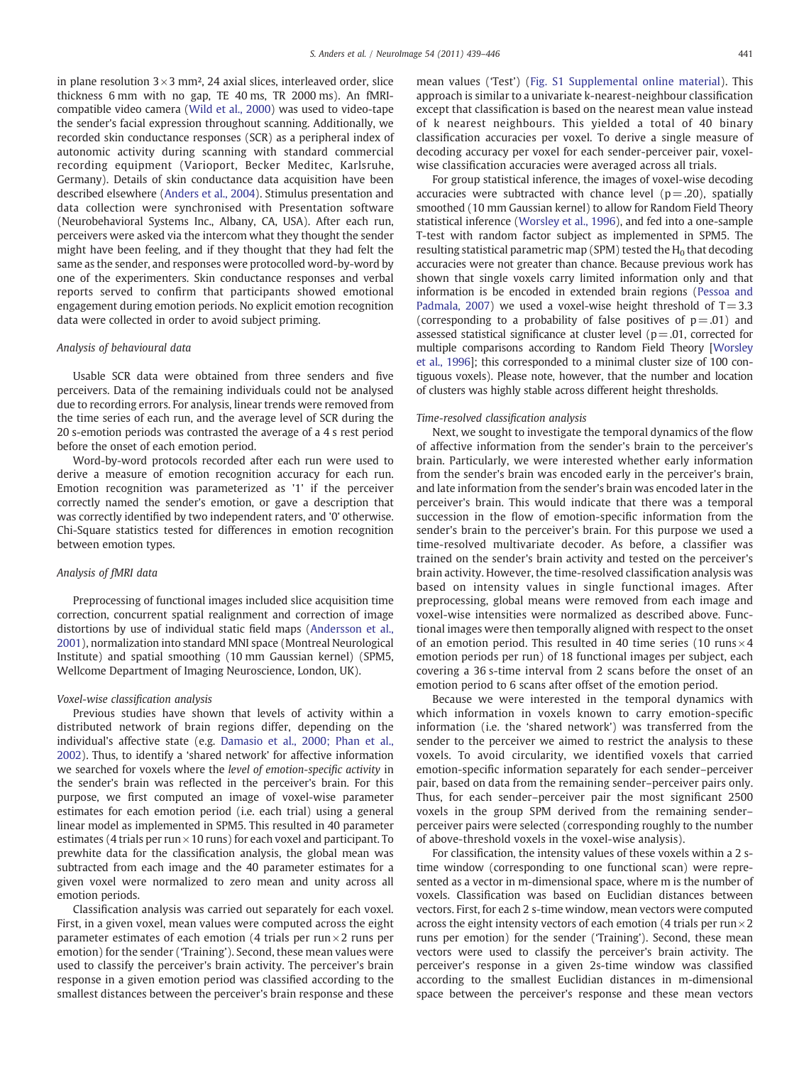in plane resolution  $3 \times 3$  mm<sup>2</sup>, 24 axial slices, interleaved order, slice thickness 6 mm with no gap, TE 40 ms, TR 2000 ms). An fMRIcompatible video camera ([Wild et al., 2000\)](#page-7-0) was used to video-tape the sender's facial expression throughout scanning. Additionally, we recorded skin conductance responses (SCR) as a peripheral index of autonomic activity during scanning with standard commercial recording equipment (Varioport, Becker Meditec, Karlsruhe, Germany). Details of skin conductance data acquisition have been described elsewhere ([Anders et al., 2004](#page-7-0)). Stimulus presentation and data collection were synchronised with Presentation software (Neurobehavioral Systems Inc., Albany, CA, USA). After each run, perceivers were asked via the intercom what they thought the sender might have been feeling, and if they thought that they had felt the same as the sender, and responses were protocolled word-by-word by one of the experimenters. Skin conductance responses and verbal reports served to confirm that participants showed emotional engagement during emotion periods. No explicit emotion recognition data were collected in order to avoid subject priming.

### Analysis of behavioural data

Usable SCR data were obtained from three senders and five perceivers. Data of the remaining individuals could not be analysed due to recording errors. For analysis, linear trends were removed from the time series of each run, and the average level of SCR during the 20 s-emotion periods was contrasted the average of a 4 s rest period before the onset of each emotion period.

Word-by-word protocols recorded after each run were used to derive a measure of emotion recognition accuracy for each run. Emotion recognition was parameterized as '1' if the perceiver correctly named the sender's emotion, or gave a description that was correctly identified by two independent raters, and '0' otherwise. Chi-Square statistics tested for differences in emotion recognition between emotion types.

# Analysis of fMRI data

Preprocessing of functional images included slice acquisition time correction, concurrent spatial realignment and correction of image distortions by use of individual static field maps ([Andersson et al.,](#page-7-0) [2001\)](#page-7-0), normalization into standard MNI space (Montreal Neurological Institute) and spatial smoothing (10 mm Gaussian kernel) (SPM5, Wellcome Department of Imaging Neuroscience, London, UK).

#### Voxel-wise classification analysis

Previous studies have shown that levels of activity within a distributed network of brain regions differ, depending on the individual's affective state (e.g. [Damasio et al., 2000; Phan et al.,](#page-7-0) [2002\)](#page-7-0). Thus, to identify a 'shared network' for affective information we searched for voxels where the level of emotion-specific activity in the sender's brain was reflected in the perceiver's brain. For this purpose, we first computed an image of voxel-wise parameter estimates for each emotion period (i.e. each trial) using a general linear model as implemented in SPM5. This resulted in 40 parameter estimates (4 trials per run  $\times$  10 runs) for each voxel and participant. To prewhite data for the classification analysis, the global mean was subtracted from each image and the 40 parameter estimates for a given voxel were normalized to zero mean and unity across all emotion periods.

Classification analysis was carried out separately for each voxel. First, in a given voxel, mean values were computed across the eight parameter estimates of each emotion (4 trials per run $\times$ 2 runs per emotion) for the sender ('Training'). Second, these mean values were used to classify the perceiver's brain activity. The perceiver's brain response in a given emotion period was classified according to the smallest distances between the perceiver's brain response and these

mean values ('Test') (Fig. S1 Supplemental online material). This approach is similar to a univariate k-nearest-neighbour classification except that classification is based on the nearest mean value instead of k nearest neighbours. This yielded a total of 40 binary classification accuracies per voxel. To derive a single measure of decoding accuracy per voxel for each sender-perceiver pair, voxelwise classification accuracies were averaged across all trials.

For group statistical inference, the images of voxel-wise decoding accuracies were subtracted with chance level ( $p = .20$ ), spatially smoothed (10 mm Gaussian kernel) to allow for Random Field Theory statistical inference ([Worsley et al., 1996\)](#page-7-0), and fed into a one-sample T-test with random factor subject as implemented in SPM5. The resulting statistical parametric map (SPM) tested the  $H_0$  that decoding accuracies were not greater than chance. Because previous work has shown that single voxels carry limited information only and that information is be encoded in extended brain regions [\(Pessoa and](#page-7-0) [Padmala, 2007](#page-7-0)) we used a voxel-wise height threshold of  $T = 3.3$ (corresponding to a probability of false positives of  $p = .01$ ) and assessed statistical significance at cluster level ( $p = .01$ , corrected for multiple comparisons according to Random Field Theory [[Worsley](#page-7-0) [et al., 1996\]](#page-7-0); this corresponded to a minimal cluster size of 100 contiguous voxels). Please note, however, that the number and location of clusters was highly stable across different height thresholds.

#### Time-resolved classification analysis

Next, we sought to investigate the temporal dynamics of the flow of affective information from the sender's brain to the perceiver's brain. Particularly, we were interested whether early information from the sender's brain was encoded early in the perceiver's brain, and late information from the sender's brain was encoded later in the perceiver's brain. This would indicate that there was a temporal succession in the flow of emotion-specific information from the sender's brain to the perceiver's brain. For this purpose we used a time-resolved multivariate decoder. As before, a classifier was trained on the sender's brain activity and tested on the perceiver's brain activity. However, the time-resolved classification analysis was based on intensity values in single functional images. After preprocessing, global means were removed from each image and voxel-wise intensities were normalized as described above. Functional images were then temporally aligned with respect to the onset of an emotion period. This resulted in 40 time series (10 runs $\times$ 4 emotion periods per run) of 18 functional images per subject, each covering a 36 s-time interval from 2 scans before the onset of an emotion period to 6 scans after offset of the emotion period.

Because we were interested in the temporal dynamics with which information in voxels known to carry emotion-specific information (i.e. the 'shared network') was transferred from the sender to the perceiver we aimed to restrict the analysis to these voxels. To avoid circularity, we identified voxels that carried emotion-specific information separately for each sender–perceiver pair, based on data from the remaining sender–perceiver pairs only. Thus, for each sender–perceiver pair the most significant 2500 voxels in the group SPM derived from the remaining sender– perceiver pairs were selected (corresponding roughly to the number of above-threshold voxels in the voxel-wise analysis).

For classification, the intensity values of these voxels within a 2 stime window (corresponding to one functional scan) were represented as a vector in m-dimensional space, where m is the number of voxels. Classification was based on Euclidian distances between vectors. First, for each 2 s-time window, mean vectors were computed across the eight intensity vectors of each emotion (4 trials per run  $\times$  2 runs per emotion) for the sender ('Training'). Second, these mean vectors were used to classify the perceiver's brain activity. The perceiver's response in a given 2s-time window was classified according to the smallest Euclidian distances in m-dimensional space between the perceiver's response and these mean vectors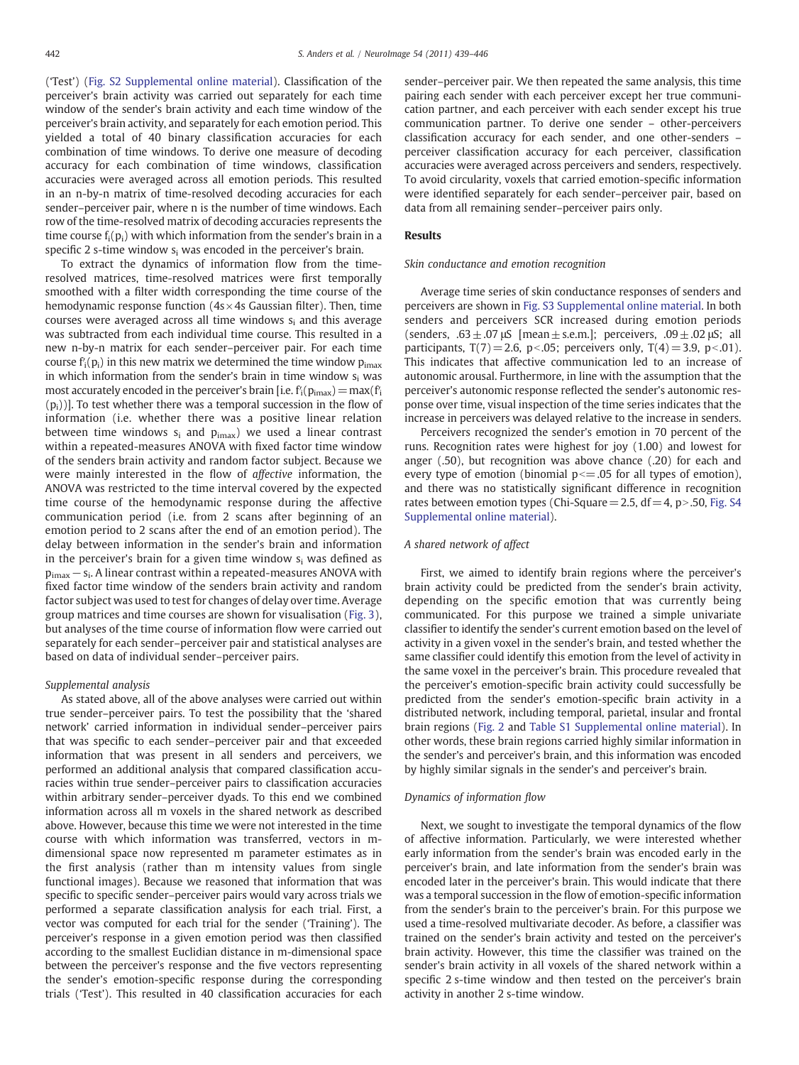('Test') (Fig. S2 Supplemental online material). Classification of the perceiver's brain activity was carried out separately for each time window of the sender's brain activity and each time window of the perceiver's brain activity, and separately for each emotion period. This yielded a total of 40 binary classification accuracies for each combination of time windows. To derive one measure of decoding accuracy for each combination of time windows, classification accuracies were averaged across all emotion periods. This resulted in an n-by-n matrix of time-resolved decoding accuracies for each sender–perceiver pair, where n is the number of time windows. Each row of the time-resolved matrix of decoding accuracies represents the time course  $f_i(p_i)$  with which information from the sender's brain in a specific 2 s-time window  $s_i$  was encoded in the perceiver's brain.

To extract the dynamics of information flow from the timeresolved matrices, time-resolved matrices were first temporally smoothed with a filter width corresponding the time course of the hemodynamic response function  $(4s \times 4s)$  Gaussian filter). Then, time courses were averaged across all time windows si and this average was subtracted from each individual time course. This resulted in a new n-by-n matrix for each sender–perceiver pair. For each time course  $f_i(p_i)$  in this new matrix we determined the time window  $p_{imax}$ in which information from the sender's brain in time window s<sub>i</sub> was most accurately encoded in the perceiver's brain [i.e.  $f_i(p_{\text{imax}})=max(f_i)$  $(p_i)$ ]. To test whether there was a temporal succession in the flow of information (i.e. whether there was a positive linear relation between time windows  $s_i$  and  $p_{imax}$ ) we used a linear contrast within a repeated-measures ANOVA with fixed factor time window of the senders brain activity and random factor subject. Because we were mainly interested in the flow of affective information, the ANOVA was restricted to the time interval covered by the expected time course of the hemodynamic response during the affective communication period (i.e. from 2 scans after beginning of an emotion period to 2 scans after the end of an emotion period). The delay between information in the sender's brain and information in the perceiver's brain for a given time window  $s_i$  was defined as pimax−si. A linear contrast within a repeated-measures ANOVA with fixed factor time window of the senders brain activity and random factor subject was used to test for changes of delay over time. Average group matrices and time courses are shown for visualisation [\(Fig. 3](#page-5-0)), but analyses of the time course of information flow were carried out separately for each sender–perceiver pair and statistical analyses are based on data of individual sender–perceiver pairs.

#### Supplemental analysis

As stated above, all of the above analyses were carried out within true sender–perceiver pairs. To test the possibility that the 'shared network' carried information in individual sender–perceiver pairs that was specific to each sender–perceiver pair and that exceeded information that was present in all senders and perceivers, we performed an additional analysis that compared classification accuracies within true sender–perceiver pairs to classification accuracies within arbitrary sender–perceiver dyads. To this end we combined information across all m voxels in the shared network as described above. However, because this time we were not interested in the time course with which information was transferred, vectors in mdimensional space now represented m parameter estimates as in the first analysis (rather than m intensity values from single functional images). Because we reasoned that information that was specific to specific sender–perceiver pairs would vary across trials we performed a separate classification analysis for each trial. First, a vector was computed for each trial for the sender ('Training'). The perceiver's response in a given emotion period was then classified according to the smallest Euclidian distance in m-dimensional space between the perceiver's response and the five vectors representing the sender's emotion-specific response during the corresponding trials ('Test'). This resulted in 40 classification accuracies for each sender–perceiver pair. We then repeated the same analysis, this time pairing each sender with each perceiver except her true communication partner, and each perceiver with each sender except his true communication partner. To derive one sender – other-perceivers classification accuracy for each sender, and one other-senders – perceiver classification accuracy for each perceiver, classification accuracies were averaged across perceivers and senders, respectively. To avoid circularity, voxels that carried emotion-specific information were identified separately for each sender–perceiver pair, based on data from all remaining sender–perceiver pairs only.

#### Results

#### Skin conductance and emotion recognition

Average time series of skin conductance responses of senders and perceivers are shown in Fig. S3 Supplemental online material. In both senders and perceivers SCR increased during emotion periods (senders, .63  $\pm$  .07 μS [mean  $\pm$  s.e.m.]; perceivers, .09  $\pm$  .02 μS; all participants,  $T(7) = 2.6$ , p<.05; perceivers only,  $T(4) = 3.9$ , p<.01). This indicates that affective communication led to an increase of autonomic arousal. Furthermore, in line with the assumption that the perceiver's autonomic response reflected the sender's autonomic response over time, visual inspection of the time series indicates that the increase in perceivers was delayed relative to the increase in senders.

Perceivers recognized the sender's emotion in 70 percent of the runs. Recognition rates were highest for joy (1.00) and lowest for anger (.50), but recognition was above chance (.20) for each and every type of emotion (binomial  $p \le 0.05$  for all types of emotion), and there was no statistically significant difference in recognition rates between emotion types (Chi-Square = 2.5, df = 4, p > .50, Fig. S4 Supplemental online material).

# A shared network of affect

First, we aimed to identify brain regions where the perceiver's brain activity could be predicted from the sender's brain activity, depending on the specific emotion that was currently being communicated. For this purpose we trained a simple univariate classifier to identify the sender's current emotion based on the level of activity in a given voxel in the sender's brain, and tested whether the same classifier could identify this emotion from the level of activity in the same voxel in the perceiver's brain. This procedure revealed that the perceiver's emotion-specific brain activity could successfully be predicted from the sender's emotion-specific brain activity in a distributed network, including temporal, parietal, insular and frontal brain regions [\(Fig. 2](#page-4-0) and Table S1 Supplemental online material). In other words, these brain regions carried highly similar information in the sender's and perceiver's brain, and this information was encoded by highly similar signals in the sender's and perceiver's brain.

#### Dynamics of information flow

Next, we sought to investigate the temporal dynamics of the flow of affective information. Particularly, we were interested whether early information from the sender's brain was encoded early in the perceiver's brain, and late information from the sender's brain was encoded later in the perceiver's brain. This would indicate that there was a temporal succession in the flow of emotion-specific information from the sender's brain to the perceiver's brain. For this purpose we used a time-resolved multivariate decoder. As before, a classifier was trained on the sender's brain activity and tested on the perceiver's brain activity. However, this time the classifier was trained on the sender's brain activity in all voxels of the shared network within a specific 2 s-time window and then tested on the perceiver's brain activity in another 2 s-time window.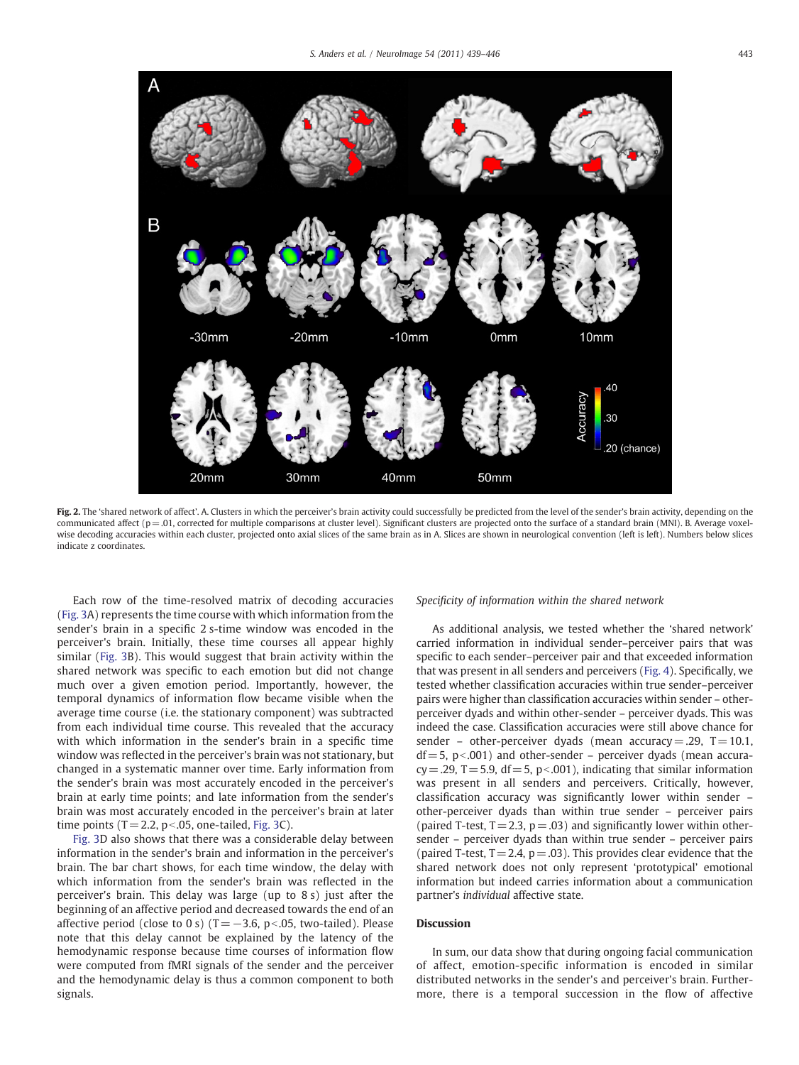<span id="page-4-0"></span>

Fig. 2. The 'shared network of affect'. A. Clusters in which the perceiver's brain activity could successfully be predicted from the level of the sender's brain activity, depending on the communicated affect ( $p = .01$ , corrected for multiple comparisons at cluster level). Significant clusters are projected onto the surface of a standard brain (MNI). B. Average voxelwise decoding accuracies within each cluster, projected onto axial slices of the same brain as in A. Slices are shown in neurological convention (left is left). Numbers below slices indicate z coordinates.

Each row of the time-resolved matrix of decoding accuracies [\(Fig. 3](#page-5-0)A) represents the time course with which information from the sender's brain in a specific 2 s-time window was encoded in the perceiver's brain. Initially, these time courses all appear highly similar ([Fig. 3](#page-5-0)B). This would suggest that brain activity within the shared network was specific to each emotion but did not change much over a given emotion period. Importantly, however, the temporal dynamics of information flow became visible when the average time course (i.e. the stationary component) was subtracted from each individual time course. This revealed that the accuracy with which information in the sender's brain in a specific time window was reflected in the perceiver's brain was not stationary, but changed in a systematic manner over time. Early information from the sender's brain was most accurately encoded in the perceiver's brain at early time points; and late information from the sender's brain was most accurately encoded in the perceiver's brain at later time points  $(T = 2.2, p<0.05,$  one-tailed, [Fig. 3](#page-5-0)C).

[Fig. 3](#page-5-0)D also shows that there was a considerable delay between information in the sender's brain and information in the perceiver's brain. The bar chart shows, for each time window, the delay with which information from the sender's brain was reflected in the perceiver's brain. This delay was large (up to 8 s) just after the beginning of an affective period and decreased towards the end of an affective period (close to 0 s) (T = −3.6, p <.05, two-tailed). Please note that this delay cannot be explained by the latency of the hemodynamic response because time courses of information flow were computed from fMRI signals of the sender and the perceiver and the hemodynamic delay is thus a common component to both signals.

#### Specificity of information within the shared network

As additional analysis, we tested whether the 'shared network' carried information in individual sender–perceiver pairs that was specific to each sender–perceiver pair and that exceeded information that was present in all senders and perceivers [\(Fig. 4](#page-6-0)). Specifically, we tested whether classification accuracies within true sender–perceiver pairs were higher than classification accuracies within sender – otherperceiver dyads and within other-sender – perceiver dyads. This was indeed the case. Classification accuracies were still above chance for sender – other-perceiver dyads (mean accuracy = .29,  $T = 10.1$ ,  $df = 5$ , p<.001) and other-sender – perceiver dyads (mean accura $cy = .29$ , T = 5.9, df = 5, p < 001), indicating that similar information was present in all senders and perceivers. Critically, however, classification accuracy was significantly lower within sender – other-perceiver dyads than within true sender – perceiver pairs (paired T-test,  $T = 2.3$ ,  $p = .03$ ) and significantly lower within othersender – perceiver dyads than within true sender – perceiver pairs (paired T-test,  $T = 2.4$ ,  $p = .03$ ). This provides clear evidence that the shared network does not only represent 'prototypical' emotional information but indeed carries information about a communication partner's individual affective state.

# Discussion

In sum, our data show that during ongoing facial communication of affect, emotion-specific information is encoded in similar distributed networks in the sender's and perceiver's brain. Furthermore, there is a temporal succession in the flow of affective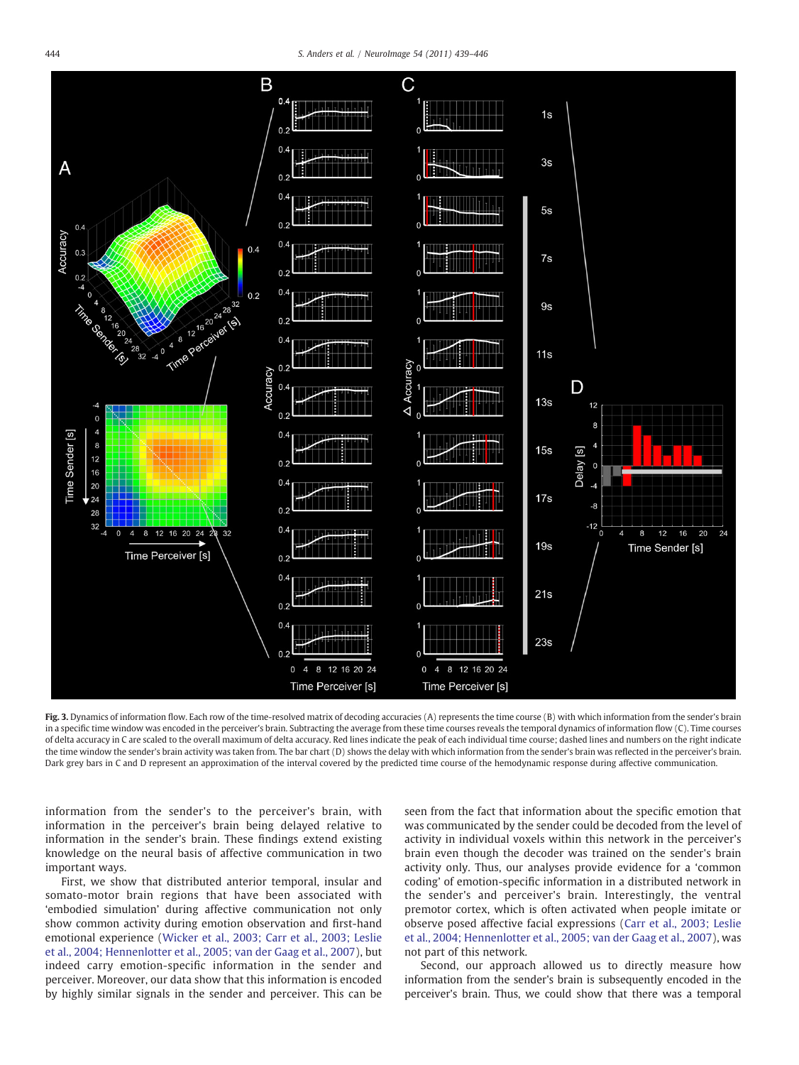<span id="page-5-0"></span>

Fig. 3. Dynamics of information flow. Each row of the time-resolved matrix of decoding accuracies (A) represents the time course (B) with which information from the sender's brain in a specific time window was encoded in the perceiver's brain. Subtracting the average from these time courses reveals the temporal dynamics of information flow (C). Time courses of delta accuracy in C are scaled to the overall maximum of delta accuracy. Red lines indicate the peak of each individual time course; dashed lines and numbers on the right indicate the time window the sender's brain activity was taken from. The bar chart (D) shows the delay with which information from the sender's brain was reflected in the perceiver's brain. Dark grey bars in C and D represent an approximation of the interval covered by the predicted time course of the hemodynamic response during affective communication.

information from the sender's to the perceiver's brain, with information in the perceiver's brain being delayed relative to information in the sender's brain. These findings extend existing knowledge on the neural basis of affective communication in two important ways.

First, we show that distributed anterior temporal, insular and somato-motor brain regions that have been associated with 'embodied simulation' during affective communication not only show common activity during emotion observation and first-hand emotional experience [\(Wicker et al., 2003; Carr et al., 2003; Leslie](#page-7-0) [et al., 2004; Hennenlotter et al., 2005; van der Gaag et al., 2007\)](#page-7-0), but indeed carry emotion-specific information in the sender and perceiver. Moreover, our data show that this information is encoded by highly similar signals in the sender and perceiver. This can be seen from the fact that information about the specific emotion that was communicated by the sender could be decoded from the level of activity in individual voxels within this network in the perceiver's brain even though the decoder was trained on the sender's brain activity only. Thus, our analyses provide evidence for a 'common coding' of emotion-specific information in a distributed network in the sender's and perceiver's brain. Interestingly, the ventral premotor cortex, which is often activated when people imitate or observe posed affective facial expressions ([Carr et al., 2003; Leslie](#page-7-0) [et al., 2004; Hennenlotter et al., 2005; van der Gaag et al., 2007\)](#page-7-0), was not part of this network.

Second, our approach allowed us to directly measure how information from the sender's brain is subsequently encoded in the perceiver's brain. Thus, we could show that there was a temporal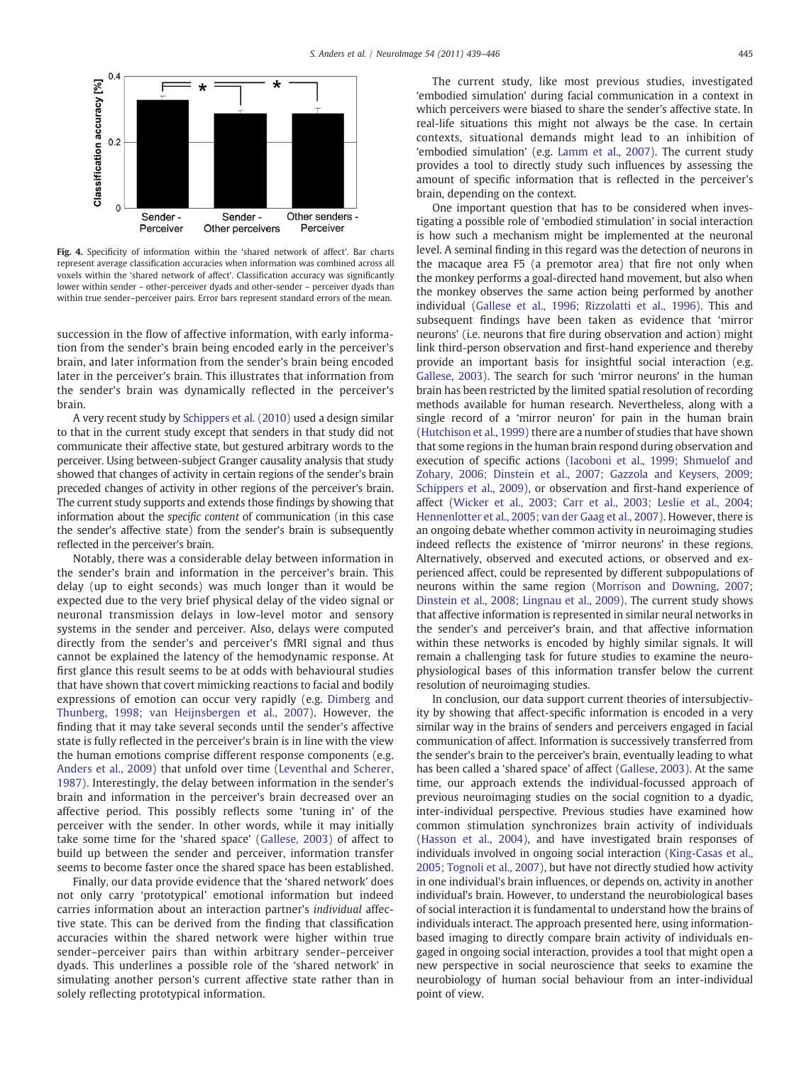<span id="page-6-0"></span>

Fig. 4. Specificity of information within the 'shared network of affect'. Bar charts represent average classification accuracies when information was combined across all voxels within the 'shared network of affect'. Classification accuracy was significantly lower within sender – other-perceiver dyads and other-sender – perceiver dyads than within true sender–perceiver pairs. Error bars represent standard errors of the mean.

succession in the flow of affective information, with early information from the sender's brain being encoded early in the perceiver's brain, and later information from the sender's brain being encoded later in the perceiver's brain. This illustrates that information from the sender's brain was dynamically reflected in the perceiver's brain.

A very recent study by [Schippers et al. \(2010\)](#page-7-0) used a design similar to that in the current study except that senders in that study did not communicate their affective state, but gestured arbitrary words to the perceiver. Using between-subject Granger causality analysis that study showed that changes of activity in certain regions of the sender's brain preceded changes of activity in other regions of the perceiver's brain. The current study supports and extends those findings by showing that information about the specific content of communication (in this case the sender's affective state) from the sender's brain is subsequently reflected in the perceiver's brain.

Notably, there was a considerable delay between information in the sender's brain and information in the perceiver's brain. This delay (up to eight seconds) was much longer than it would be expected due to the very brief physical delay of the video signal or neuronal transmission delays in low-level motor and sensory systems in the sender and perceiver. Also, delays were computed directly from the sender's and perceiver's fMRI signal and thus cannot be explained the latency of the hemodynamic response. At first glance this result seems to be at odds with behavioural studies that have shown that covert mimicking reactions to facial and bodily expressions of emotion can occur very rapidly (e.g. [Dimberg and](#page-7-0) [Thunberg, 1998; van Heijnsbergen et al., 2007\)](#page-7-0). However, the finding that it may take several seconds until the sender's affective state is fully reflected in the perceiver's brain is in line with the view the human emotions comprise different response components (e.g. [Anders et al., 2009](#page-7-0)) that unfold over time ([Leventhal and Scherer,](#page-7-0) [1987](#page-7-0)). Interestingly, the delay between information in the sender's brain and information in the perceiver's brain decreased over an affective period. This possibly reflects some 'tuning in' of the perceiver with the sender. In other words, while it may initially take some time for the 'shared space' [\(Gallese, 2003\)](#page-7-0) of affect to build up between the sender and perceiver, information transfer seems to become faster once the shared space has been established.

Finally, our data provide evidence that the 'shared network' does not only carry 'prototypical' emotional information but indeed carries information about an interaction partner's individual affective state. This can be derived from the finding that classification accuracies within the shared network were higher within true sender–perceiver pairs than within arbitrary sender–perceiver dyads. This underlines a possible role of the 'shared network' in simulating another person's current affective state rather than in solely reflecting prototypical information.

The current study, like most previous studies, investigated 'embodied simulation' during facial communication in a context in which perceivers were biased to share the sender's affective state. In real-life situations this might not always be the case. In certain contexts, situational demands might lead to an inhibition of 'embodied simulation' (e.g. [Lamm et al., 2007\)](#page-7-0). The current study provides a tool to directly study such influences by assessing the amount of specific information that is reflected in the perceiver's brain, depending on the context.

One important question that has to be considered when investigating a possible role of 'embodied stimulation' in social interaction is how such a mechanism might be implemented at the neuronal level. A seminal finding in this regard was the detection of neurons in the macaque area F5 (a premotor area) that fire not only when the monkey performs a goal-directed hand movement, but also when the monkey observes the same action being performed by another individual [\(Gallese et al., 1996; Rizzolatti et al., 1996\)](#page-7-0). This and subsequent findings have been taken as evidence that 'mirror neurons' (i.e. neurons that fire during observation and action) might link third-person observation and first-hand experience and thereby provide an important basis for insightful social interaction (e.g. [Gallese, 2003\)](#page-7-0). The search for such 'mirror neurons' in the human brain has been restricted by the limited spatial resolution of recording methods available for human research. Nevertheless, along with a single record of a 'mirror neuron' for pain in the human brain [\(Hutchison et al., 1999](#page-7-0)) there are a number of studies that have shown that some regions in the human brain respond during observation and execution of specific actions [\(Iacoboni et al., 1999; Shmuelof and](#page-7-0) [Zohary, 2006; Dinstein et al., 2007; Gazzola and Keysers, 2009;](#page-7-0) [Schippers et al., 2009\)](#page-7-0), or observation and first-hand experience of affect [\(Wicker et al., 2003; Carr et al., 2003; Leslie et al., 2004;](#page-7-0) [Hennenlotter et al., 2005; van der Gaag et al., 2007](#page-7-0)). However, there is an ongoing debate whether common activity in neuroimaging studies indeed reflects the existence of 'mirror neurons' in these regions. Alternatively, observed and executed actions, or observed and experienced affect, could be represented by different subpopulations of neurons within the same region ([Morrison and Downing, 2007;](#page-7-0) [Dinstein et al., 2008; Lingnau et al., 2009](#page-7-0)). The current study shows that affective information is represented in similar neural networks in the sender's and perceiver's brain, and that affective information within these networks is encoded by highly similar signals. It will remain a challenging task for future studies to examine the neurophysiological bases of this information transfer below the current resolution of neuroimaging studies.

In conclusion, our data support current theories of intersubjectivity by showing that affect-specific information is encoded in a very similar way in the brains of senders and perceivers engaged in facial communication of affect. Information is successively transferred from the sender's brain to the perceiver's brain, eventually leading to what has been called a 'shared space' of affect [\(Gallese, 2003\)](#page-7-0). At the same time, our approach extends the individual-focussed approach of previous neuroimaging studies on the social cognition to a dyadic, inter-individual perspective. Previous studies have examined how common stimulation synchronizes brain activity of individuals [\(Hasson et al., 2004\)](#page-7-0), and have investigated brain responses of individuals involved in ongoing social interaction [\(King-Casas et al.,](#page-7-0) [2005; Tognoli et al., 2007](#page-7-0)), but have not directly studied how activity in one individual's brain influences, or depends on, activity in another individual's brain. However, to understand the neurobiological bases of social interaction it is fundamental to understand how the brains of individuals interact. The approach presented here, using informationbased imaging to directly compare brain activity of individuals engaged in ongoing social interaction, provides a tool that might open a new perspective in social neuroscience that seeks to examine the neurobiology of human social behaviour from an inter-individual point of view.